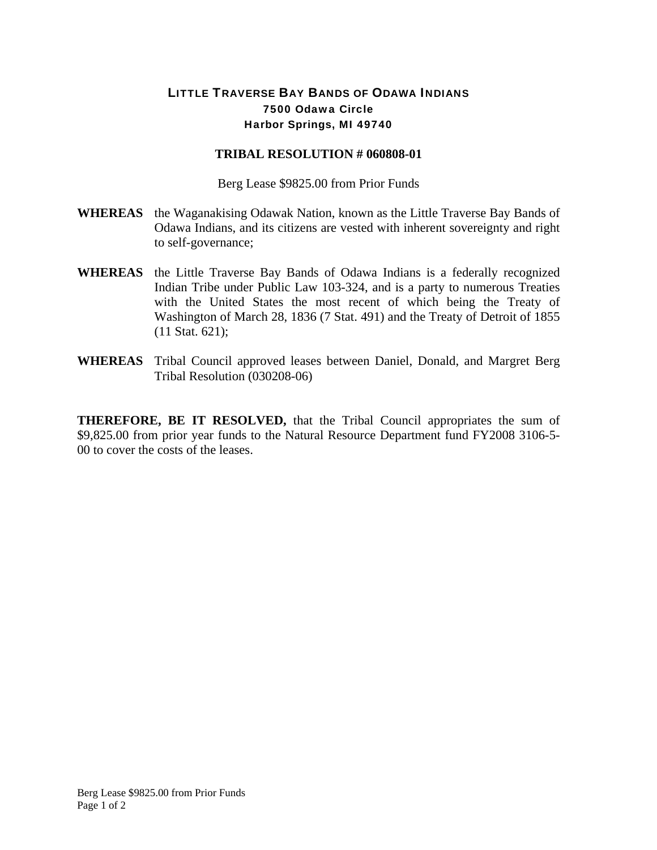## LITTLE TRAVERSE BAY BANDS OF ODAWA INDIANS 7500 Odawa Circle Harbor Springs, MI 49740

## **TRIBAL RESOLUTION # 060808-01**

Berg Lease \$9825.00 from Prior Funds

- **WHEREAS** the Waganakising Odawak Nation, known as the Little Traverse Bay Bands of Odawa Indians, and its citizens are vested with inherent sovereignty and right to self-governance;
- **WHEREAS** the Little Traverse Bay Bands of Odawa Indians is a federally recognized Indian Tribe under Public Law 103-324, and is a party to numerous Treaties with the United States the most recent of which being the Treaty of Washington of March 28, 1836 (7 Stat. 491) and the Treaty of Detroit of 1855 (11 Stat. 621);
- **WHEREAS** Tribal Council approved leases between Daniel, Donald, and Margret Berg Tribal Resolution (030208-06)

**THEREFORE, BE IT RESOLVED,** that the Tribal Council appropriates the sum of \$9,825.00 from prior year funds to the Natural Resource Department fund FY2008 3106-5- 00 to cover the costs of the leases.